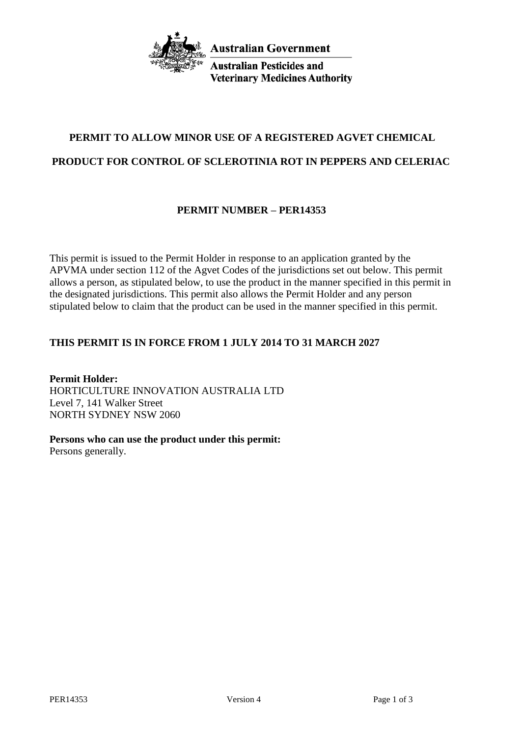

**Australian Pesticides and Veterinary Medicines Authority** 

# **PERMIT TO ALLOW MINOR USE OF A REGISTERED AGVET CHEMICAL**

### **PRODUCT FOR CONTROL OF SCLEROTINIA ROT IN PEPPERS AND CELERIAC**

## **PERMIT NUMBER – PER14353**

This permit is issued to the Permit Holder in response to an application granted by the APVMA under section 112 of the Agvet Codes of the jurisdictions set out below. This permit allows a person, as stipulated below, to use the product in the manner specified in this permit in the designated jurisdictions. This permit also allows the Permit Holder and any person stipulated below to claim that the product can be used in the manner specified in this permit.

## **THIS PERMIT IS IN FORCE FROM 1 JULY 2014 TO 31 MARCH 2027**

**Permit Holder:** HORTICULTURE INNOVATION AUSTRALIA LTD Level 7, 141 Walker Street NORTH SYDNEY NSW 2060

**Persons who can use the product under this permit:**

Persons generally.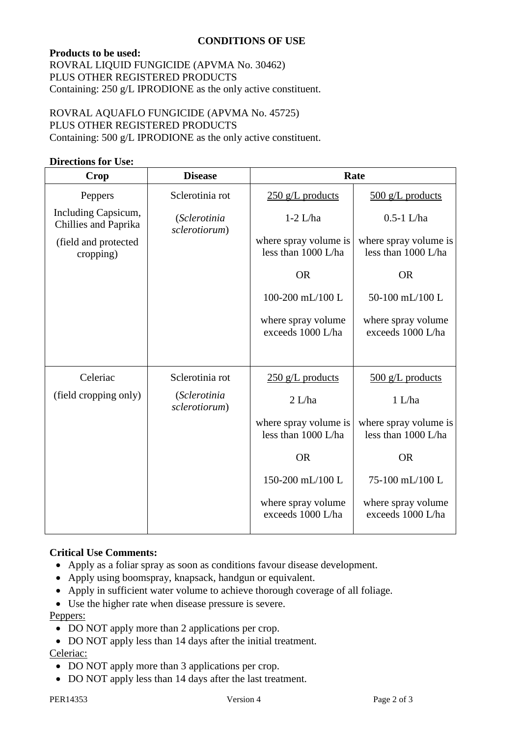### **CONDITIONS OF USE**

### **Products to be used:**

ROVRAL LIQUID FUNGICIDE (APVMA No. 30462) PLUS OTHER REGISTERED PRODUCTS Containing: 250 g/L IPRODIONE as the only active constituent.

### ROVRAL AQUAFLO FUNGICIDE (APVMA No. 45725) PLUS OTHER REGISTERED PRODUCTS Containing: 500 g/L IPRODIONE as the only active constituent.

#### **Directions for Use:**

| Crop                                        | <b>Disease</b>                | Rate                                         |                                              |
|---------------------------------------------|-------------------------------|----------------------------------------------|----------------------------------------------|
| Peppers                                     | Sclerotinia rot               | $250$ g/L products                           | $500$ g/L products                           |
| Including Capsicum,<br>Chillies and Paprika | (Sclerotinia<br>sclerotiorum) | $1-2$ L/ha                                   | $0.5 - 1$ L/ha                               |
| (field and protected<br>cropping)           |                               | where spray volume is<br>less than 1000 L/ha | where spray volume is<br>less than 1000 L/ha |
|                                             |                               | <b>OR</b>                                    | <b>OR</b>                                    |
|                                             |                               | 100-200 mL/100 L                             | 50-100 mL/100 L                              |
|                                             |                               | where spray volume<br>exceeds 1000 L/ha      | where spray volume<br>exceeds 1000 L/ha      |
|                                             |                               |                                              |                                              |
| Celeriac                                    | Sclerotinia rot               | $250$ g/L products                           | $500$ g/L products                           |
| (field cropping only)                       | (Sclerotinia<br>sclerotiorum) | 2 L/ha                                       | 1 L/ha                                       |
|                                             |                               | where spray volume is<br>less than 1000 L/ha | where spray volume is<br>less than 1000 L/ha |
|                                             |                               | <b>OR</b>                                    | <b>OR</b>                                    |
|                                             |                               | 150-200 mL/100 L                             | 75-100 mL/100 L                              |
|                                             |                               | where spray volume<br>exceeds 1000 L/ha      | where spray volume<br>exceeds 1000 L/ha      |

#### **Critical Use Comments:**

- Apply as a foliar spray as soon as conditions favour disease development.
- Apply using boomspray, knapsack, handgun or equivalent.
- Apply in sufficient water volume to achieve thorough coverage of all foliage.
- Use the higher rate when disease pressure is severe.

#### Peppers:

- DO NOT apply more than 2 applications per crop.
- DO NOT apply less than 14 days after the initial treatment.

## Celeriac:

- DO NOT apply more than 3 applications per crop.
- DO NOT apply less than 14 days after the last treatment.